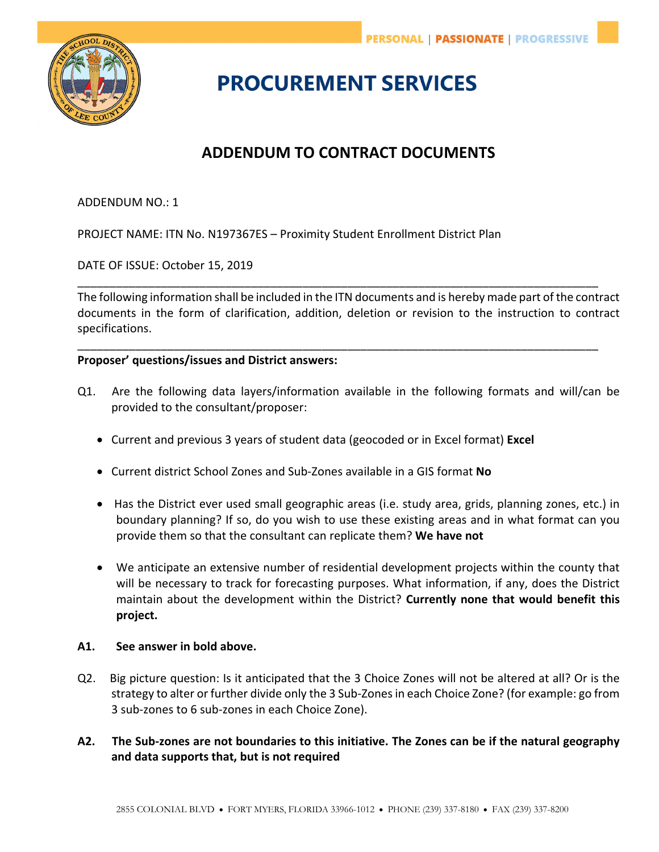

# **PROCUREMENT SERVICES**

# **ADDENDUM TO CONTRACT DOCUMENTS**

## ADDENDUM NO.: 1

PROJECT NAME: ITN No. N197367ES – Proximity Student Enrollment District Plan

DATE OF ISSUE: October 15, 2019

The following information shall be included in the ITN documents and is hereby made part of the contract documents in the form of clarification, addition, deletion or revision to the instruction to contract specifications.

\_\_\_\_\_\_\_\_\_\_\_\_\_\_\_\_\_\_\_\_\_\_\_\_\_\_\_\_\_\_\_\_\_\_\_\_\_\_\_\_\_\_\_\_\_\_\_\_\_\_\_\_\_\_\_\_\_\_\_\_\_\_\_\_\_\_\_\_\_\_\_\_\_\_\_\_\_\_\_\_\_

\_\_\_\_\_\_\_\_\_\_\_\_\_\_\_\_\_\_\_\_\_\_\_\_\_\_\_\_\_\_\_\_\_\_\_\_\_\_\_\_\_\_\_\_\_\_\_\_\_\_\_\_\_\_\_\_\_\_\_\_\_\_\_\_\_\_\_\_\_\_\_\_\_\_\_\_\_\_\_\_\_

#### **Proposer' questions/issues and District answers:**

- Q1. Are the following data layers/information available in the following formats and will/can be provided to the consultant/proposer:
	- Current and previous 3 years of student data (geocoded or in Excel format) **Excel**
	- Current district School Zones and Sub‐Zones available in a GIS format **No**
	- Has the District ever used small geographic areas (i.e. study area, grids, planning zones, etc.) in boundary planning? If so, do you wish to use these existing areas and in what format can you provide them so that the consultant can replicate them? **We have not**
	- We anticipate an extensive number of residential development projects within the county that will be necessary to track for forecasting purposes. What information, if any, does the District maintain about the development within the District? **Currently none that would benefit this project.**

#### **A1. See answer in bold above.**

Q2. Big picture question: Is it anticipated that the 3 Choice Zones will not be altered at all? Or is the strategy to alter or further divide only the 3 Sub‐Zones in each Choice Zone? (for example: go from 3 sub‐zones to 6 sub‐zones in each Choice Zone).

## **A2. The Sub‐zones are not boundaries to this initiative. The Zones can be if the natural geography and data supports that, but is not required**